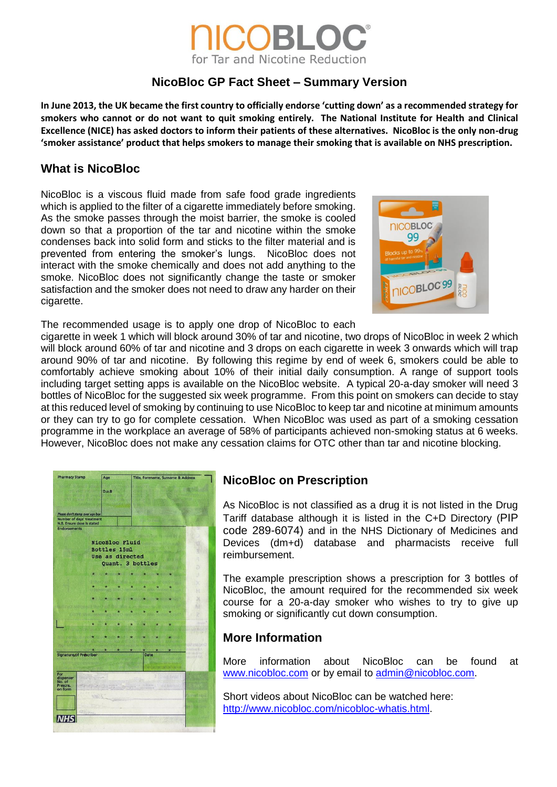# XORI C for Tar and Nicotine Reduction

## **NicoBloc GP Fact Sheet – Summary Version**

**In June 2013, the UK became the first country to officially endorse 'cutting down' as a recommended strategy for smokers who cannot or do not want to quit smoking entirely. The National Institute for Health and Clinical Excellence (NICE) has asked doctors to inform their patients of these alternatives. NicoBloc is the only non-drug 'smoker assistance' product that helps smokers to manage their smoking that is available on NHS prescription.**

### **What is NicoBloc**

NicoBloc is a viscous fluid made from safe food grade ingredients which is applied to the filter of a cigarette immediately before smoking. As the smoke passes through the moist barrier, the smoke is cooled down so that a proportion of the tar and nicotine within the smoke condenses back into solid form and sticks to the filter material and is prevented from entering the smoker's lungs. NicoBloc does not interact with the smoke chemically and does not add anything to the smoke. NicoBloc does not significantly change the taste or smoker satisfaction and the smoker does not need to draw any harder on their cigarette.



The recommended usage is to apply one drop of NicoBloc to each

cigarette in week 1 which will block around 30% of tar and nicotine, two drops of NicoBloc in week 2 which will block around 60% of tar and nicotine and 3 drops on each cigarette in week 3 onwards which will trap around 90% of tar and nicotine. By following this regime by end of week 6, smokers could be able to comfortably achieve smoking about 10% of their initial daily consumption. A range of support tools including target setting apps is available on the NicoBloc website. A typical 20-a-day smoker will need 3 bottles of NicoBloc for the suggested six week programme. From this point on smokers can decide to stay at this reduced level of smoking by continuing to use NicoBloc to keep tar and nicotine at minimum amounts or they can try to go for complete cessation. When NicoBloc was used as part of a smoking cessation programme in the workplace an average of 58% of participants achieved non-smoking status at 6 weeks. However, NicoBloc does not make any cessation claims for OTC other than tar and nicotine blocking.



## **NicoBloc on Prescription**

As NicoBloc is not classified as a drug it is not listed in the Drug Tariff database although it is listed in the C+D Directory (PIP code 289-6074) and in the NHS Dictionary of Medicines and Devices (dm+d) database and pharmacists receive full reimbursement.

The example prescription shows a prescription for 3 bottles of NicoBloc, the amount required for the recommended six week course for a 20-a-day smoker who wishes to try to give up smoking or significantly cut down consumption.

## **More Information**

More information about NicoBloc can be found at [www.nicobloc.com](http://www.nicobloc.com/) or by email to [admin@nicobloc.com.](mailto:admin@nicobloc.com)

Short videos about NicoBloc can be watched here: [http://www.nicobloc.com/nicobloc-whatis.html.](http://www.nicobloc.com/nicobloc-whatis.html)